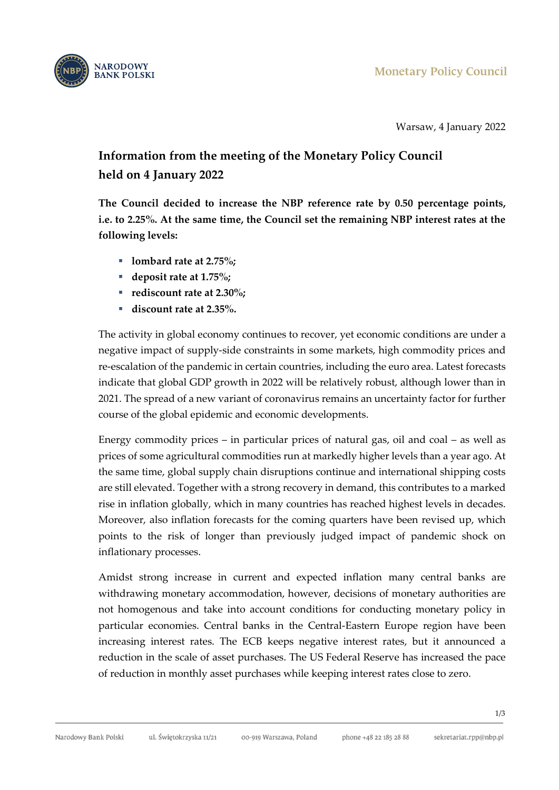

Warsaw, 4 January 2022

1/3

## **Information from the meeting of the Monetary Policy Council held on 4 January 2022**

**The Council decided to increase the NBP reference rate by 0.50 percentage points, i.e. to 2.25%. At the same time, the Council set the remaining NBP interest rates at the following levels:**

- **lombard rate at 2.75%;**
- **deposit rate at 1.75%;**
- **rediscount rate at 2.30%:**
- **discount rate at 2.35%.**

The activity in global economy continues to recover, yet economic conditions are under a negative impact of supply-side constraints in some markets, high commodity prices and re-escalation of the pandemic in certain countries, including the euro area. Latest forecasts indicate that global GDP growth in 2022 will be relatively robust, although lower than in 2021. The spread of a new variant of coronavirus remains an uncertainty factor for further course of the global epidemic and economic developments.

Energy commodity prices – in particular prices of natural gas, oil and coal – as well as prices of some agricultural commodities run at markedly higher levels than a year ago. At the same time, global supply chain disruptions continue and international shipping costs are still elevated. Together with a strong recovery in demand, this contributes to a marked rise in inflation globally, which in many countries has reached highest levels in decades. Moreover, also inflation forecasts for the coming quarters have been revised up, which points to the risk of longer than previously judged impact of pandemic shock on inflationary processes.

Amidst strong increase in current and expected inflation many central banks are withdrawing monetary accommodation, however, decisions of monetary authorities are not homogenous and take into account conditions for conducting monetary policy in particular economies. Central banks in the Central-Eastern Europe region have been increasing interest rates. The ECB keeps negative interest rates, but it announced a reduction in the scale of asset purchases. The US Federal Reserve has increased the pace of reduction in monthly asset purchases while keeping interest rates close to zero.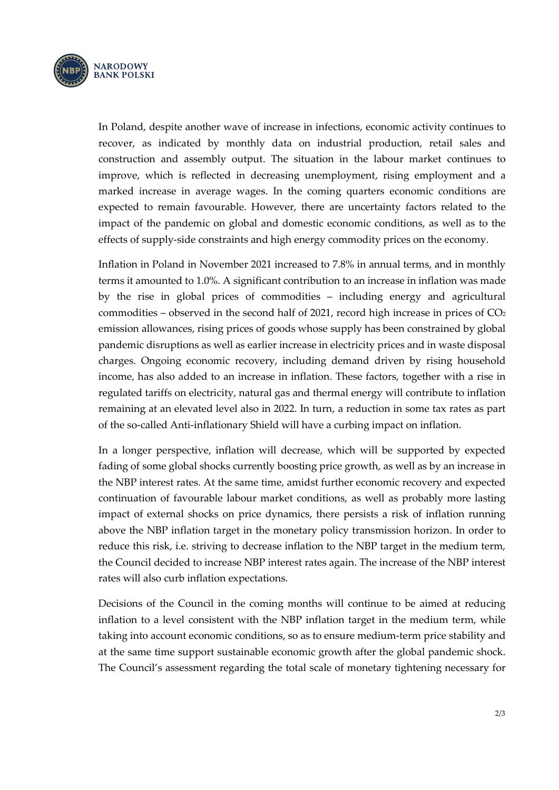

In Poland, despite another wave of increase in infections, economic activity continues to recover, as indicated by monthly data on industrial production, retail sales and construction and assembly output. The situation in the labour market continues to improve, which is reflected in decreasing unemployment, rising employment and a marked increase in average wages. In the coming quarters economic conditions are expected to remain favourable. However, there are uncertainty factors related to the impact of the pandemic on global and domestic economic conditions, as well as to the effects of supply-side constraints and high energy commodity prices on the economy.

Inflation in Poland in November 2021 increased to 7.8% in annual terms, and in monthly terms it amounted to 1.0%. A significant contribution to an increase in inflation was made by the rise in global prices of commodities – including energy and agricultural commodities – observed in the second half of 2021, record high increase in prices of  $CO<sub>2</sub>$ emission allowances, rising prices of goods whose supply has been constrained by global pandemic disruptions as well as earlier increase in electricity prices and in waste disposal charges. Ongoing economic recovery, including demand driven by rising household income, has also added to an increase in inflation. These factors, together with a rise in regulated tariffs on electricity, natural gas and thermal energy will contribute to inflation remaining at an elevated level also in 2022. In turn, a reduction in some tax rates as part of the so-called Anti-inflationary Shield will have a curbing impact on inflation.

In a longer perspective, inflation will decrease, which will be supported by expected fading of some global shocks currently boosting price growth, as well as by an increase in the NBP interest rates. At the same time, amidst further economic recovery and expected continuation of favourable labour market conditions, as well as probably more lasting impact of external shocks on price dynamics, there persists a risk of inflation running above the NBP inflation target in the monetary policy transmission horizon. In order to reduce this risk, i.e. striving to decrease inflation to the NBP target in the medium term, the Council decided to increase NBP interest rates again. The increase of the NBP interest rates will also curb inflation expectations.

Decisions of the Council in the coming months will continue to be aimed at reducing inflation to a level consistent with the NBP inflation target in the medium term, while taking into account economic conditions, so as to ensure medium-term price stability and at the same time support sustainable economic growth after the global pandemic shock. The Council's assessment regarding the total scale of monetary tightening necessary for